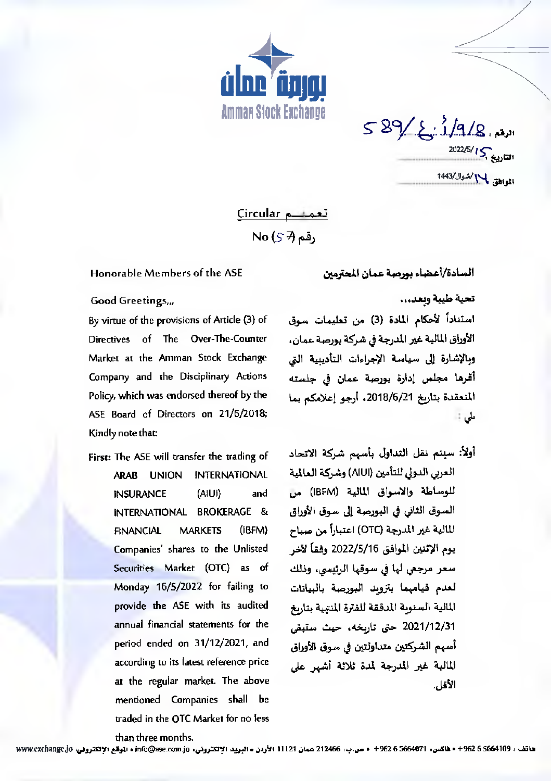

 $589/2.1/9/8.$ 1  $\frac{2022/5}{I\sum_{k\neq j}^{2}}$ التاريخ المواهق بالا/شوال/1443

تعميسم Circular <sub>د</sub>قم No (ج َ؟)

## Honorable Members of the ASE

السادة/أعضاء بورصة عمان المحترمين

## تحية طيبة وبعد...

استناداً لأحكام المادة (3) من تعليمات سوق الأوراق المالية غير المدرجة في شركة بورصة عمان، وبالإشارة إلى سياسة الإجراءات التأدينية التي أقرها مجلس إدارة بورصة عمان في جلسته المنعقدة بتاريخ 2018/6/21، أرجو إعلامكم بما طی ∷

أولأ: سيتم نقل التداول بأسهم شركة الاتحاد العربي الدولي للتأمين (AIUI) وشركة العالمية للوساطة والاسواق المالية (IBFM) من السوق الثاني في البورصة إلى سوق الأوراق المالية غير المدرجة (OTC) اعتباراً من صباح يوم الإثنين الموافق 2022/5/16 وفقاً لآخر سعر مرجعي لها في سوقها الرئيسي، وذلك لعدم فيامهما بتزويد البورصة بالبيانات المالية السنوبة المدققة للفترة المنهية بتاربخ 2021/12/31 حتى تارىخە، حيث ستېقى أسهم الشركتين متداولتين في سوق الأوراق المالية غير المدرجة لمدة ثلاثة أشهر على الأقل.

## Good Greetings,,,

By virtue of the provisions of Article (3) of Directives of The Over-The-Counter Market at the Amman Stock Exchange Company and the Disciplinary Actions Policy, which was endorsed thereof by the ASE Board of Directors on 21/6/2018; Kindly note that:

First: The ASE will transfer the trading of ARAB UNION INTERNATIONAL **INSURANCE** (AIUI) and INTERNATIONAL BROKERAGE & **FINANCIAL MARKETS** (IBFM) Companies' shares to the Unlisted Securities Market (OTC) as of Monday 16/5/2022 for failing to provide the ASE with its audited annual financial statements for the period ended on 31/12/2021, and according to its latest reference price at the regular market. The above mentioned Companies shall be traded in the OTC Market for no less

than three months.